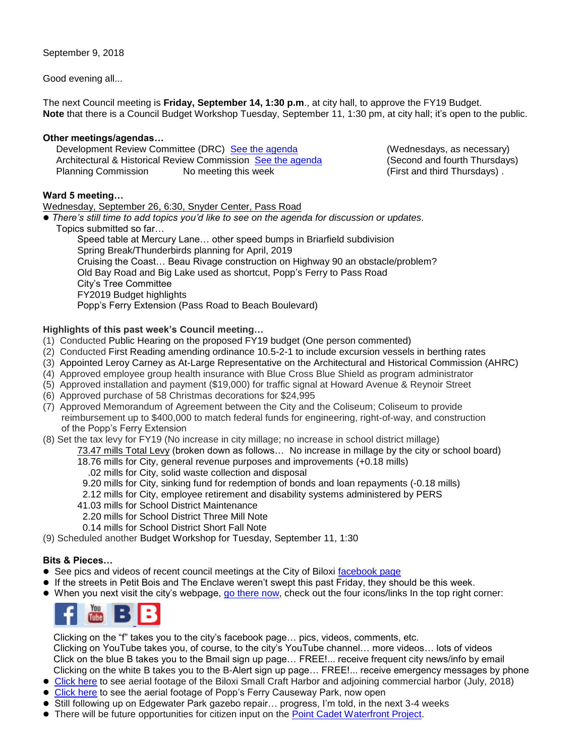Good evening all...

The next Council meeting is **Friday, September 14, 1:30 p.m**., at city hall, to approve the FY19 Budget. **Note** that there is a Council Budget Workshop Tuesday, September 11, 1:30 pm, at city hall; it's open to the public.

# **Other meetings/agendas…**

Development Review Committee (DRC) [See the agenda](https://www.biloxi.ms.us/agendas/DRC/2018/DRC-2018-09-12.pdf) (Wednesdays, as necessary) Architectural & Historical Review Commission [See the agenda](https://www.biloxi.ms.us/agendas/AHRC/2018/AHRC-2018-09-13) (Second and fourth Thursdays) Planning Commission Momeeting this week (First and third Thursdays).

# **Ward 5 meeting…**

Wednesday, September 26, 6:30, Snyder Center, Pass Road

 *There's still time to add topics you'd like to see on the agenda for discussion or updates.* Topics submitted so far…

Speed table at Mercury Lane… other speed bumps in Briarfield subdivision Spring Break/Thunderbirds planning for April, 2019 Cruising the Coast… Beau Rivage construction on Highway 90 an obstacle/problem? Old Bay Road and Big Lake used as shortcut, Popp's Ferry to Pass Road City's Tree Committee FY2019 Budget highlights Popp's Ferry Extension (Pass Road to Beach Boulevard)

# **Highlights of this past week's Council meeting…**

- (1) Conducted Public Hearing on the proposed FY19 budget (One person commented)
- (2) Conducted First Reading amending ordinance 10.5-2-1 to include excursion vessels in berthing rates
- (3) Appointed Leroy Carney as At-Large Representative on the Architectural and Historical Commission (AHRC)
- (4) Approved employee group health insurance with Blue Cross Blue Shield as program administrator
- (5) Approved installation and payment (\$19,000) for traffic signal at Howard Avenue & Reynoir Street
- (6) Approved purchase of 58 Christmas decorations for \$24,995
- (7) Approved Memorandum of Agreement between the City and the Coliseum; Coliseum to provide reimbursement up to \$400,000 to match federal funds for engineering, right-of-way, and construction of the Popp's Ferry Extension
- (8) Set the tax levy for FY19 (No increase in city millage; no increase in school district millage)
	- 73.47 mills Total Levy (broken down as follows… No increase in millage by the city or school board)
		- 18.76 mills for City, general revenue purposes and improvements (+0.18 mills)
			- .02 mills for City, solid waste collection and disposal
		- 9.20 mills for City, sinking fund for redemption of bonds and loan repayments (-0.18 mills)
		- 2.12 mills for City, employee retirement and disability systems administered by PERS
		- 41.03 mills for School District Maintenance
		- 2.20 mills for School District Three Mill Note
		- 0.14 mills for School District Short Fall Note
- (9) Scheduled another Budget Workshop for Tuesday, September 11, 1:30

# **Bits & Pieces…**

- See pics and videos of recent council meetings at the City of Biloxi [facebook page](https://www.facebook.com/cobiloxi/)
- If the streets in Petit Bois and The Enclave weren't swept this past Friday, they should be this week.
- When you next visit the city's webpage, [go there now,](https://www.biloxi.ms.us/) check out the four icons/links In the top right corner:



 Clicking on the "f" takes you to the city's facebook page… pics, videos, comments, etc. Clicking on YouTube takes you, of course, to the city's YouTube channel… more videos… lots of videos Click on the blue B takes you to the Bmail sign up page… FREE!... receive frequent city news/info by email Clicking on the white B takes you to the B-Alert sign up page… FREE!... receive emergency messages by phone

- [Click here](https://www.youtube.com/watch?v=SxqK_gEZWbI) to see aerial footage of the Biloxi Small Craft Harbor and adjoining commercial harbor (July, 2018)
- [Click here](https://www.youtube.com/watch?v=PkIMQ1twnFo) to see the aerial footage of Popp's Ferry Causeway Park, now open
- Still following up on Edgewater Park gazebo repair... progress, I'm told, in the next 3-4 weeks
- There will be future opportunities for citizen input on the [Point Cadet Waterfront Project.](http://tisdaleforbiloxi.com/wp-content/uploads/2018/05/4B-Resolution-to-MS-legislature-increase-bond-proceeds-issued-to-DMR-Gerald-Blessey-052218aleg.pdf)